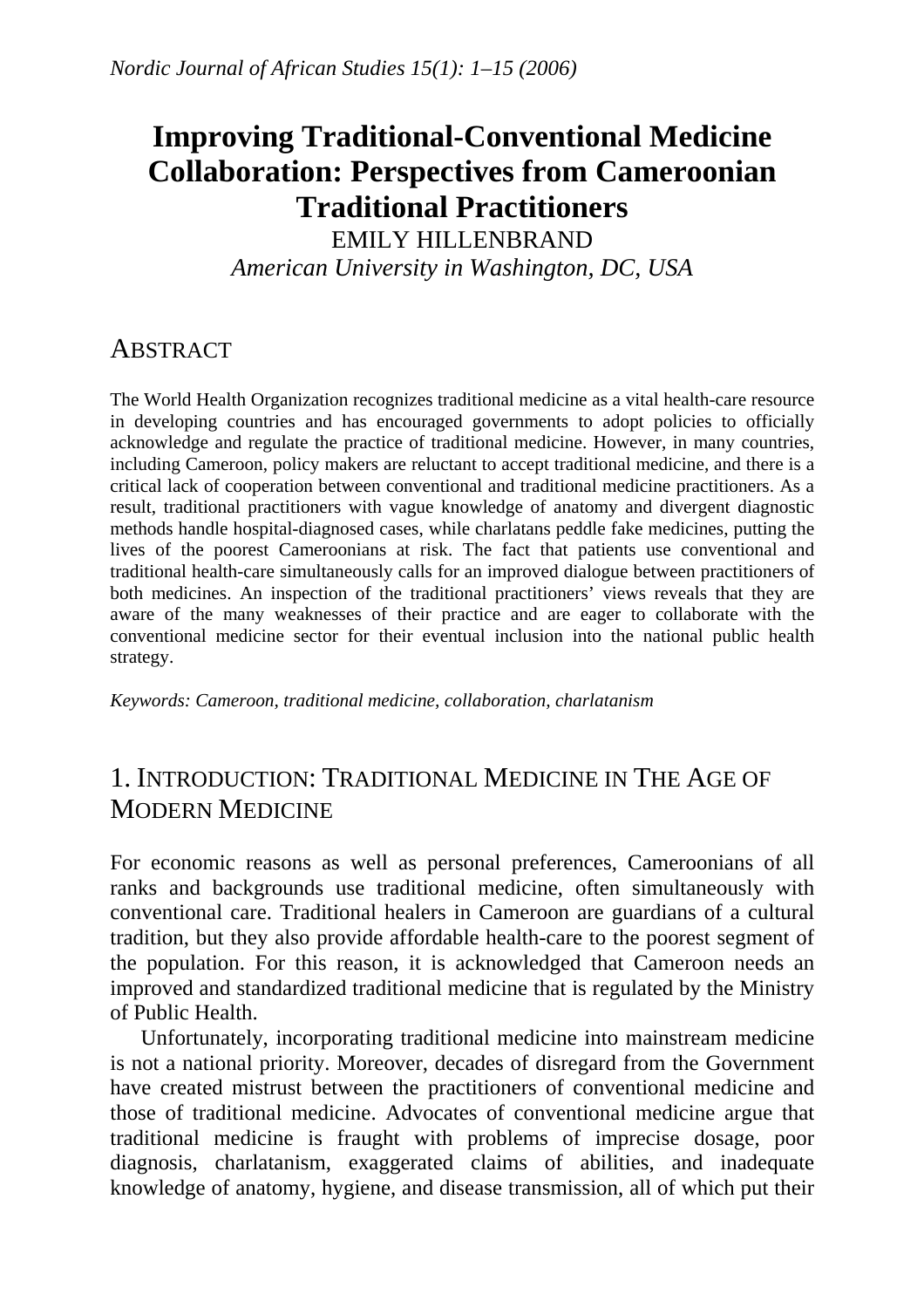# **Improving Traditional-Conventional Medicine Collaboration: Perspectives from Cameroonian Traditional Practitioners**

EMILY HILLENBRAND *American University in Washington, DC, USA* 

### **ABSTRACT**

The World Health Organization recognizes traditional medicine as a vital health-care resource in developing countries and has encouraged governments to adopt policies to officially acknowledge and regulate the practice of traditional medicine. However, in many countries, including Cameroon, policy makers are reluctant to accept traditional medicine, and there is a critical lack of cooperation between conventional and traditional medicine practitioners. As a result, traditional practitioners with vague knowledge of anatomy and divergent diagnostic methods handle hospital-diagnosed cases, while charlatans peddle fake medicines, putting the lives of the poorest Cameroonians at risk. The fact that patients use conventional and traditional health-care simultaneously calls for an improved dialogue between practitioners of both medicines. An inspection of the traditional practitioners' views reveals that they are aware of the many weaknesses of their practice and are eager to collaborate with the conventional medicine sector for their eventual inclusion into the national public health strategy.

*Keywords: Cameroon, traditional medicine, collaboration, charlatanism*

## 1. INTRODUCTION: TRADITIONAL MEDICINE IN THE AGE OF MODERN MEDICINE

For economic reasons as well as personal preferences, Cameroonians of all ranks and backgrounds use traditional medicine, often simultaneously with conventional care. Traditional healers in Cameroon are guardians of a cultural tradition, but they also provide affordable health-care to the poorest segment of the population. For this reason, it is acknowledged that Cameroon needs an improved and standardized traditional medicine that is regulated by the Ministry of Public Health.

Unfortunately, incorporating traditional medicine into mainstream medicine is not a national priority. Moreover, decades of disregard from the Government have created mistrust between the practitioners of conventional medicine and those of traditional medicine. Advocates of conventional medicine argue that traditional medicine is fraught with problems of imprecise dosage, poor diagnosis, charlatanism, exaggerated claims of abilities, and inadequate knowledge of anatomy, hygiene, and disease transmission, all of which put their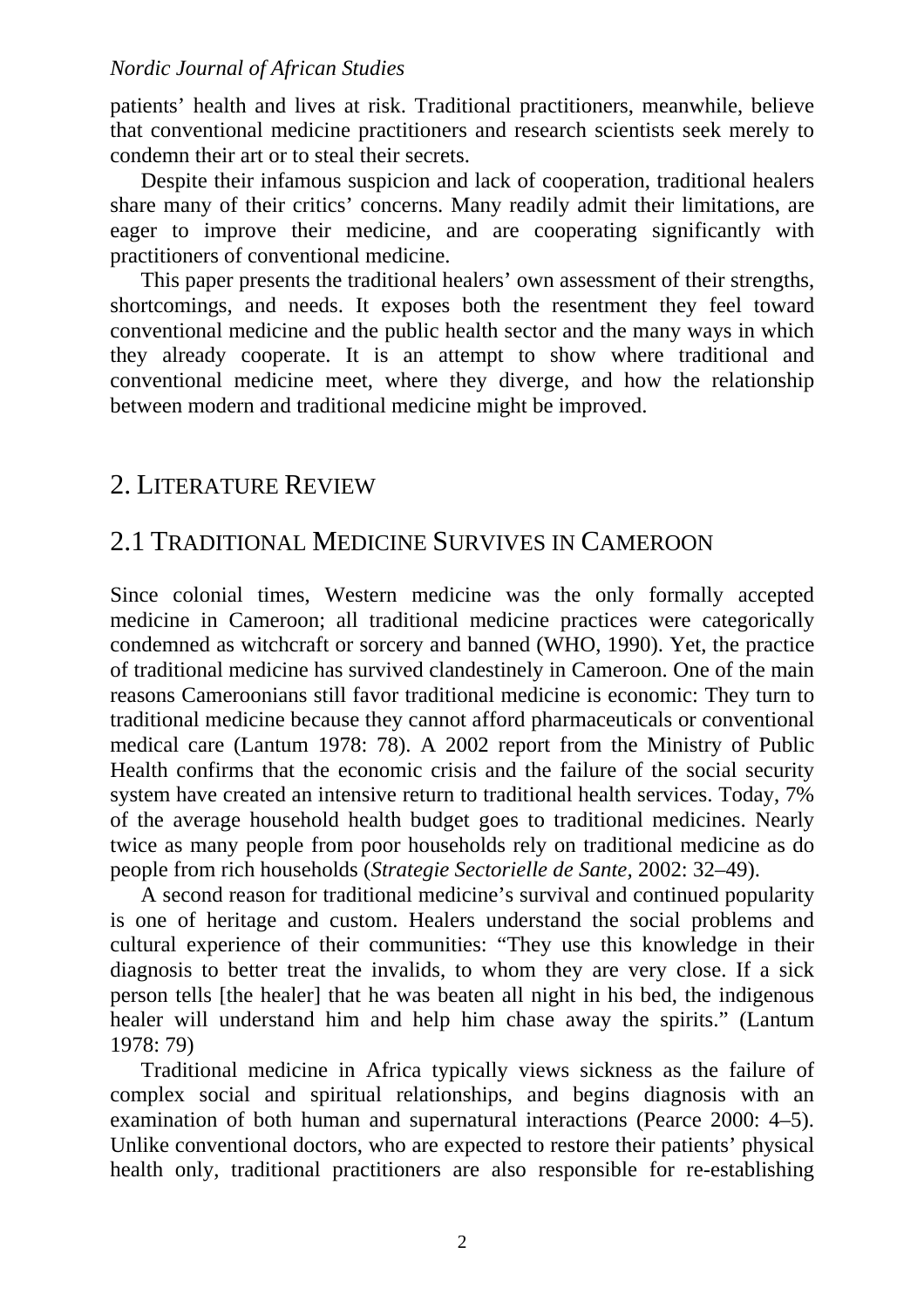patients' health and lives at risk. Traditional practitioners, meanwhile, believe that conventional medicine practitioners and research scientists seek merely to condemn their art or to steal their secrets.

Despite their infamous suspicion and lack of cooperation, traditional healers share many of their critics' concerns. Many readily admit their limitations, are eager to improve their medicine, and are cooperating significantly with practitioners of conventional medicine.

This paper presents the traditional healers' own assessment of their strengths, shortcomings, and needs. It exposes both the resentment they feel toward conventional medicine and the public health sector and the many ways in which they already cooperate. It is an attempt to show where traditional and conventional medicine meet, where they diverge, and how the relationship between modern and traditional medicine might be improved.

### 2. LITERATURE REVIEW

### 2.1 TRADITIONAL MEDICINE SURVIVES IN CAMEROON

Since colonial times, Western medicine was the only formally accepted medicine in Cameroon; all traditional medicine practices were categorically condemned as witchcraft or sorcery and banned (WHO, 1990). Yet, the practice of traditional medicine has survived clandestinely in Cameroon. One of the main reasons Cameroonians still favor traditional medicine is economic: They turn to traditional medicine because they cannot afford pharmaceuticals or conventional medical care (Lantum 1978: 78). A 2002 report from the Ministry of Public Health confirms that the economic crisis and the failure of the social security system have created an intensive return to traditional health services. Today, 7% of the average household health budget goes to traditional medicines. Nearly twice as many people from poor households rely on traditional medicine as do people from rich households (*Strategie Sectorielle de Sante,* 2002: 32–49).

A second reason for traditional medicine's survival and continued popularity is one of heritage and custom. Healers understand the social problems and cultural experience of their communities: "They use this knowledge in their diagnosis to better treat the invalids, to whom they are very close. If a sick person tells [the healer] that he was beaten all night in his bed, the indigenous healer will understand him and help him chase away the spirits." (Lantum 1978: 79)

Traditional medicine in Africa typically views sickness as the failure of complex social and spiritual relationships, and begins diagnosis with an examination of both human and supernatural interactions (Pearce 2000: 4–5). Unlike conventional doctors, who are expected to restore their patients' physical health only, traditional practitioners are also responsible for re-establishing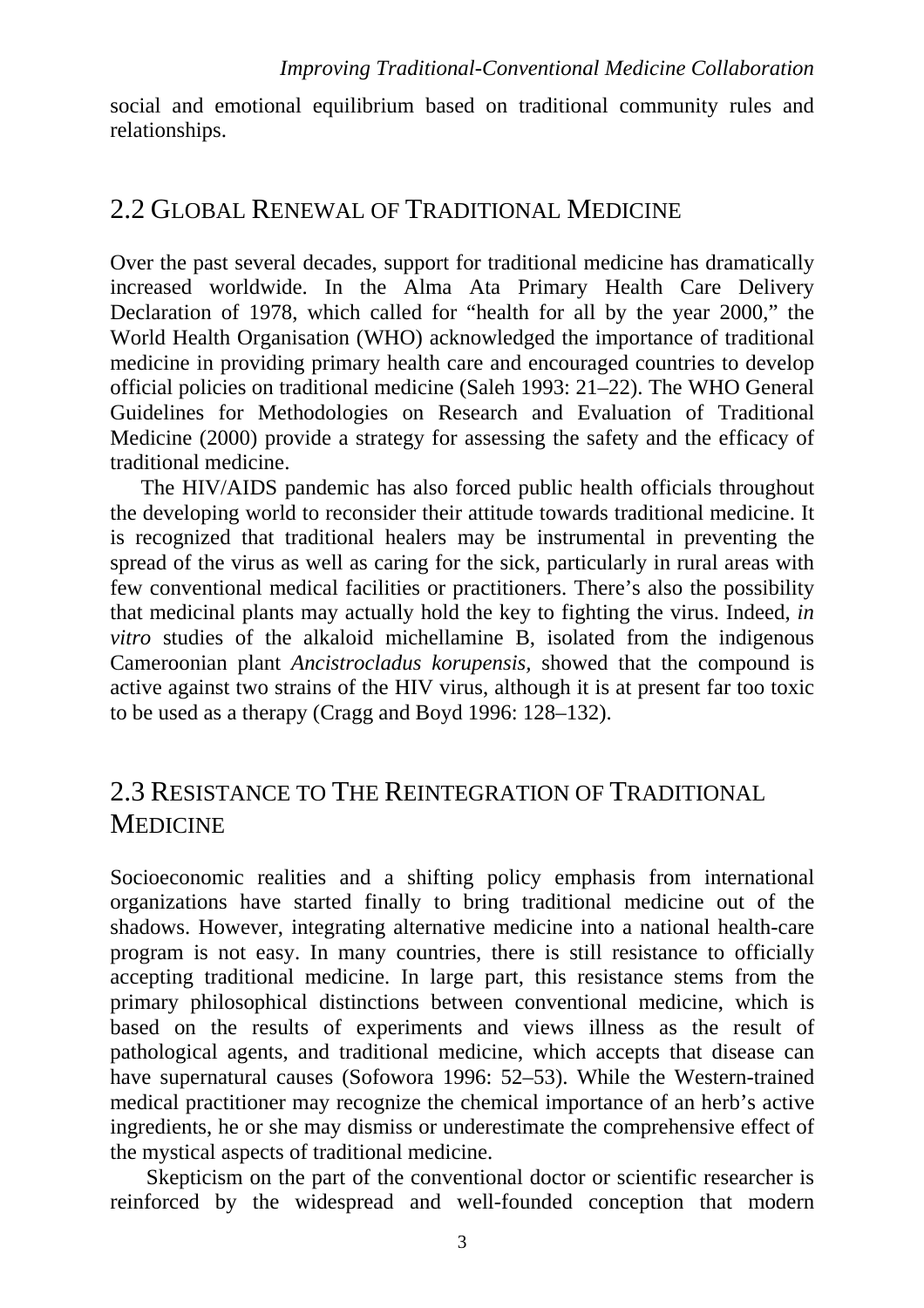social and emotional equilibrium based on traditional community rules and relationships.

### 2.2 GLOBAL RENEWAL OF TRADITIONAL MEDICINE

Over the past several decades, support for traditional medicine has dramatically increased worldwide. In the Alma Ata Primary Health Care Delivery Declaration of 1978, which called for "health for all by the year 2000," the World Health Organisation (WHO) acknowledged the importance of traditional medicine in providing primary health care and encouraged countries to develop official policies on traditional medicine (Saleh 1993: 21–22). The WHO General Guidelines for Methodologies on Research and Evaluation of Traditional Medicine (2000) provide a strategy for assessing the safety and the efficacy of traditional medicine.

The HIV/AIDS pandemic has also forced public health officials throughout the developing world to reconsider their attitude towards traditional medicine. It is recognized that traditional healers may be instrumental in preventing the spread of the virus as well as caring for the sick, particularly in rural areas with few conventional medical facilities or practitioners. There's also the possibility that medicinal plants may actually hold the key to fighting the virus. Indeed, *in vitro* studies of the alkaloid michellamine B, isolated from the indigenous Cameroonian plant *Ancistrocladus korupensis,* showed that the compound is active against two strains of the HIV virus, although it is at present far too toxic to be used as a therapy (Cragg and Boyd 1996: 128–132).

## 2.3 RESISTANCE TO THE REINTEGRATION OF TRADITIONAL MEDICINE

Socioeconomic realities and a shifting policy emphasis from international organizations have started finally to bring traditional medicine out of the shadows. However, integrating alternative medicine into a national health-care program is not easy. In many countries, there is still resistance to officially accepting traditional medicine. In large part, this resistance stems from the primary philosophical distinctions between conventional medicine, which is based on the results of experiments and views illness as the result of pathological agents, and traditional medicine, which accepts that disease can have supernatural causes (Sofowora 1996: 52–53). While the Western-trained medical practitioner may recognize the chemical importance of an herb's active ingredients, he or she may dismiss or underestimate the comprehensive effect of the mystical aspects of traditional medicine.

Skepticism on the part of the conventional doctor or scientific researcher is reinforced by the widespread and well-founded conception that modern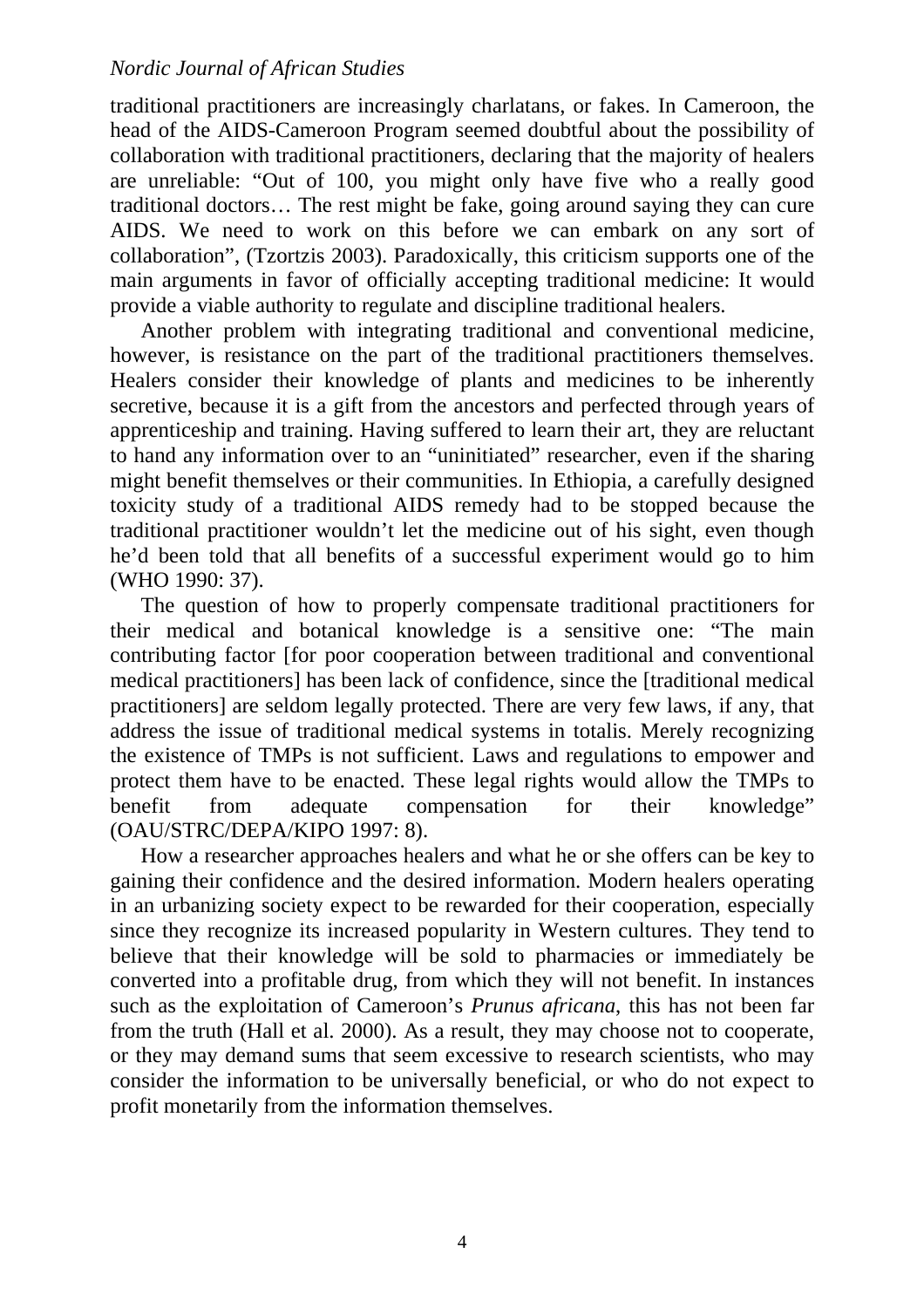traditional practitioners are increasingly charlatans, or fakes. In Cameroon, the head of the AIDS-Cameroon Program seemed doubtful about the possibility of collaboration with traditional practitioners, declaring that the majority of healers are unreliable: "Out of 100, you might only have five who a really good traditional doctors… The rest might be fake, going around saying they can cure AIDS. We need to work on this before we can embark on any sort of collaboration", (Tzortzis 2003). Paradoxically, this criticism supports one of the main arguments in favor of officially accepting traditional medicine: It would provide a viable authority to regulate and discipline traditional healers.

Another problem with integrating traditional and conventional medicine, however, is resistance on the part of the traditional practitioners themselves. Healers consider their knowledge of plants and medicines to be inherently secretive, because it is a gift from the ancestors and perfected through years of apprenticeship and training. Having suffered to learn their art, they are reluctant to hand any information over to an "uninitiated" researcher, even if the sharing might benefit themselves or their communities. In Ethiopia, a carefully designed toxicity study of a traditional AIDS remedy had to be stopped because the traditional practitioner wouldn't let the medicine out of his sight, even though he'd been told that all benefits of a successful experiment would go to him (WHO 1990: 37).

The question of how to properly compensate traditional practitioners for their medical and botanical knowledge is a sensitive one: "The main contributing factor [for poor cooperation between traditional and conventional medical practitioners] has been lack of confidence, since the [traditional medical practitioners] are seldom legally protected. There are very few laws, if any, that address the issue of traditional medical systems in totalis. Merely recognizing the existence of TMPs is not sufficient. Laws and regulations to empower and protect them have to be enacted. These legal rights would allow the TMPs to benefit from adequate compensation for their knowledge" (OAU/STRC/DEPA/KIPO 1997: 8).

How a researcher approaches healers and what he or she offers can be key to gaining their confidence and the desired information. Modern healers operating in an urbanizing society expect to be rewarded for their cooperation, especially since they recognize its increased popularity in Western cultures. They tend to believe that their knowledge will be sold to pharmacies or immediately be converted into a profitable drug, from which they will not benefit. In instances such as the exploitation of Cameroon's *Prunus africana*, this has not been far from the truth (Hall et al. 2000). As a result, they may choose not to cooperate, or they may demand sums that seem excessive to research scientists, who may consider the information to be universally beneficial, or who do not expect to profit monetarily from the information themselves.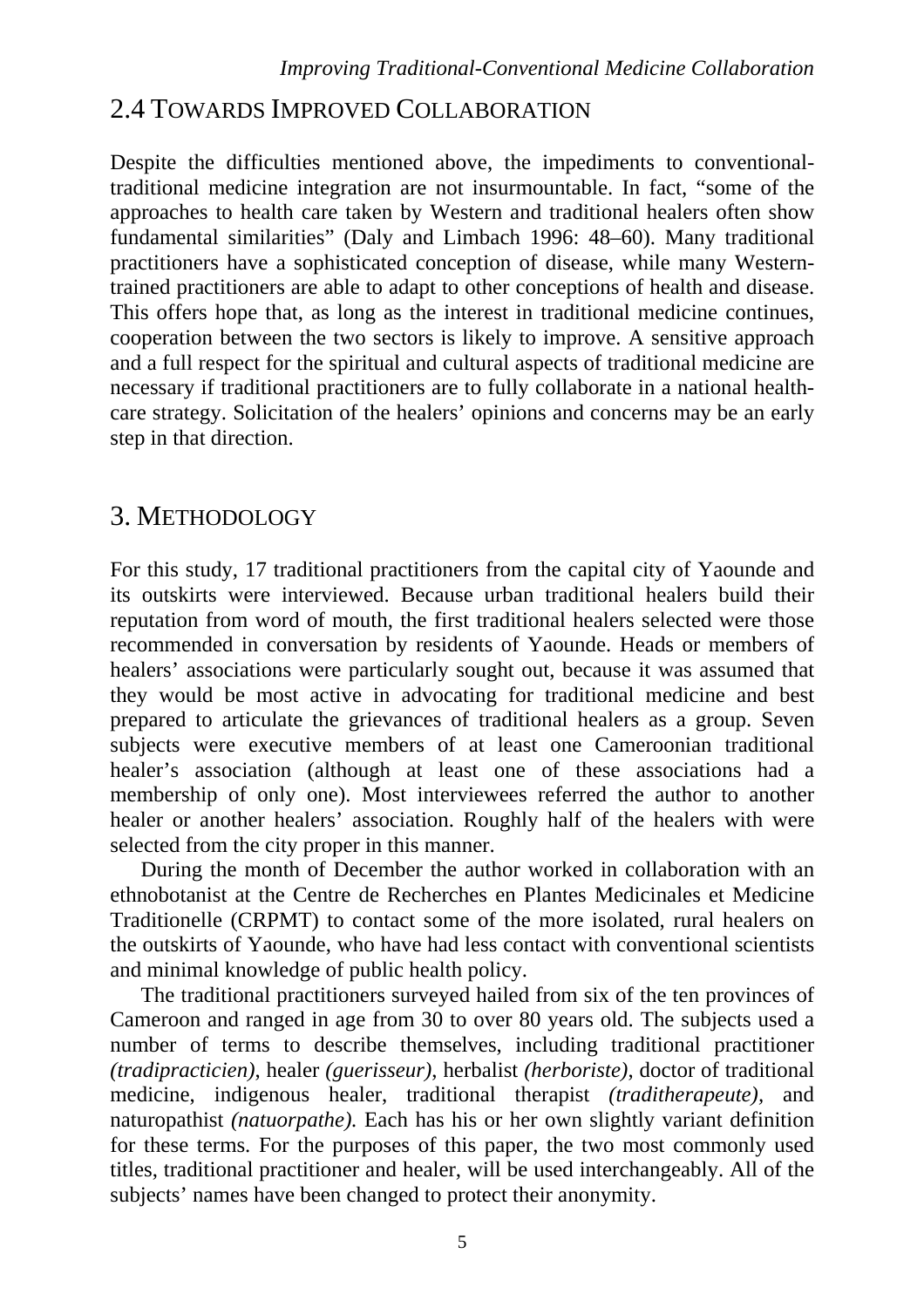## 2.4 TOWARDS IMPROVED COLLABORATION

Despite the difficulties mentioned above, the impediments to conventionaltraditional medicine integration are not insurmountable. In fact, "some of the approaches to health care taken by Western and traditional healers often show fundamental similarities" (Daly and Limbach 1996: 48–60). Many traditional practitioners have a sophisticated conception of disease, while many Westerntrained practitioners are able to adapt to other conceptions of health and disease. This offers hope that, as long as the interest in traditional medicine continues, cooperation between the two sectors is likely to improve. A sensitive approach and a full respect for the spiritual and cultural aspects of traditional medicine are necessary if traditional practitioners are to fully collaborate in a national healthcare strategy. Solicitation of the healers' opinions and concerns may be an early step in that direction.

## 3. METHODOLOGY

For this study, 17 traditional practitioners from the capital city of Yaounde and its outskirts were interviewed. Because urban traditional healers build their reputation from word of mouth, the first traditional healers selected were those recommended in conversation by residents of Yaounde. Heads or members of healers' associations were particularly sought out, because it was assumed that they would be most active in advocating for traditional medicine and best prepared to articulate the grievances of traditional healers as a group. Seven subjects were executive members of at least one Cameroonian traditional healer's association (although at least one of these associations had a membership of only one). Most interviewees referred the author to another healer or another healers' association. Roughly half of the healers with were selected from the city proper in this manner.

During the month of December the author worked in collaboration with an ethnobotanist at the Centre de Recherches en Plantes Medicinales et Medicine Traditionelle (CRPMT) to contact some of the more isolated, rural healers on the outskirts of Yaounde, who have had less contact with conventional scientists and minimal knowledge of public health policy.

The traditional practitioners surveyed hailed from six of the ten provinces of Cameroon and ranged in age from 30 to over 80 years old. The subjects used a number of terms to describe themselves, including traditional practitioner *(tradipracticien)*, healer *(guerisseur)*, herbalist *(herboriste)*, doctor of traditional medicine, indigenous healer, traditional therapist *(traditherapeute),* and naturopathist *(natuorpathe).* Each has his or her own slightly variant definition for these terms. For the purposes of this paper, the two most commonly used titles, traditional practitioner and healer, will be used interchangeably. All of the subjects' names have been changed to protect their anonymity.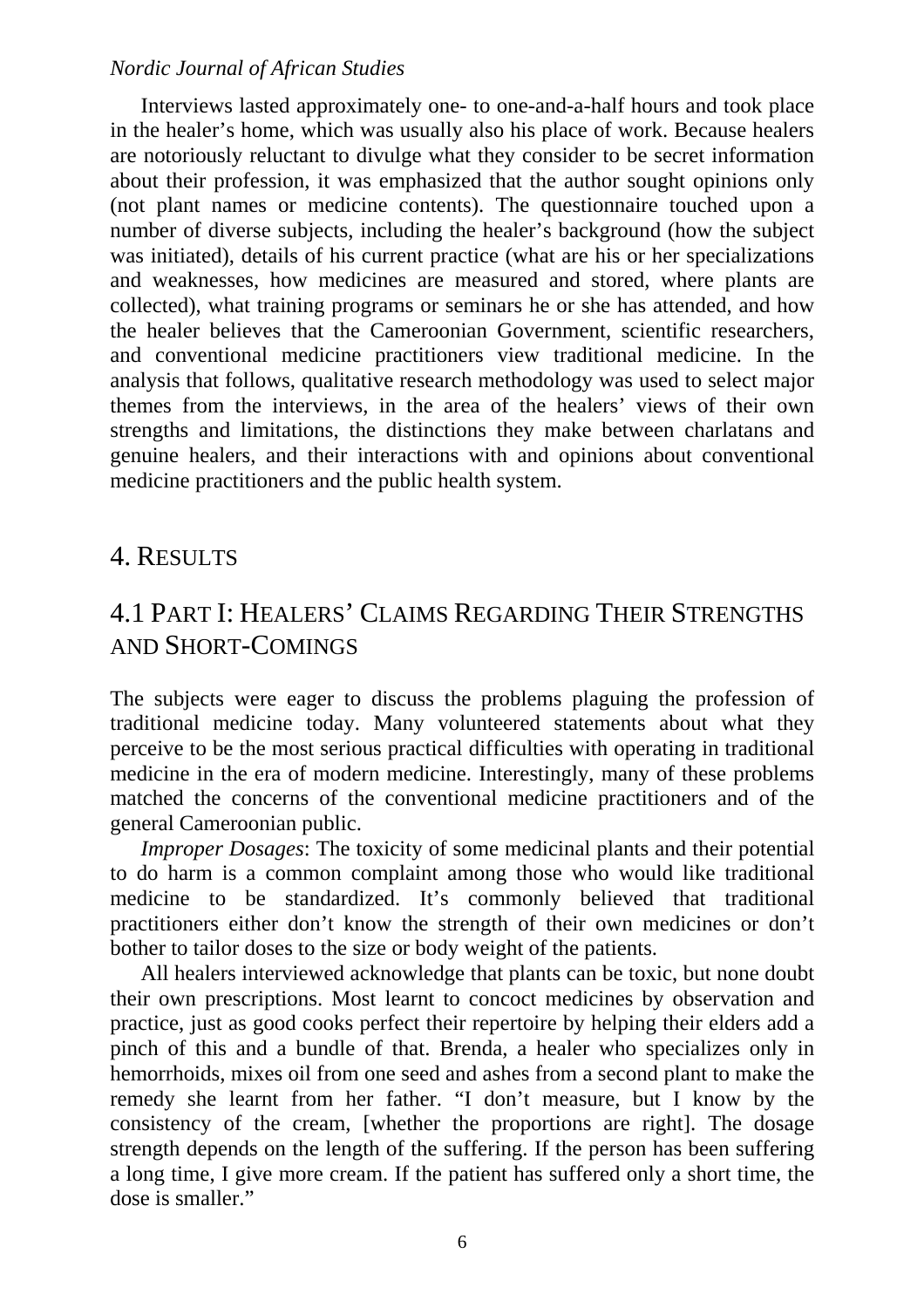Interviews lasted approximately one- to one-and-a-half hours and took place in the healer's home, which was usually also his place of work. Because healers are notoriously reluctant to divulge what they consider to be secret information about their profession, it was emphasized that the author sought opinions only (not plant names or medicine contents). The questionnaire touched upon a number of diverse subjects, including the healer's background (how the subject was initiated), details of his current practice (what are his or her specializations and weaknesses, how medicines are measured and stored, where plants are collected), what training programs or seminars he or she has attended, and how the healer believes that the Cameroonian Government, scientific researchers, and conventional medicine practitioners view traditional medicine. In the analysis that follows, qualitative research methodology was used to select major themes from the interviews, in the area of the healers' views of their own strengths and limitations, the distinctions they make between charlatans and genuine healers, and their interactions with and opinions about conventional medicine practitioners and the public health system.

### 4. RESULTS

## 4.1 PART I: HEALERS' CLAIMS REGARDING THEIR STRENGTHS AND SHORT-COMINGS

The subjects were eager to discuss the problems plaguing the profession of traditional medicine today. Many volunteered statements about what they perceive to be the most serious practical difficulties with operating in traditional medicine in the era of modern medicine. Interestingly, many of these problems matched the concerns of the conventional medicine practitioners and of the general Cameroonian public.

*Improper Dosages*: The toxicity of some medicinal plants and their potential to do harm is a common complaint among those who would like traditional medicine to be standardized. It's commonly believed that traditional practitioners either don't know the strength of their own medicines or don't bother to tailor doses to the size or body weight of the patients.

All healers interviewed acknowledge that plants can be toxic, but none doubt their own prescriptions. Most learnt to concoct medicines by observation and practice, just as good cooks perfect their repertoire by helping their elders add a pinch of this and a bundle of that. Brenda, a healer who specializes only in hemorrhoids, mixes oil from one seed and ashes from a second plant to make the remedy she learnt from her father. "I don't measure, but I know by the consistency of the cream, [whether the proportions are right]. The dosage strength depends on the length of the suffering. If the person has been suffering a long time, I give more cream. If the patient has suffered only a short time, the dose is smaller."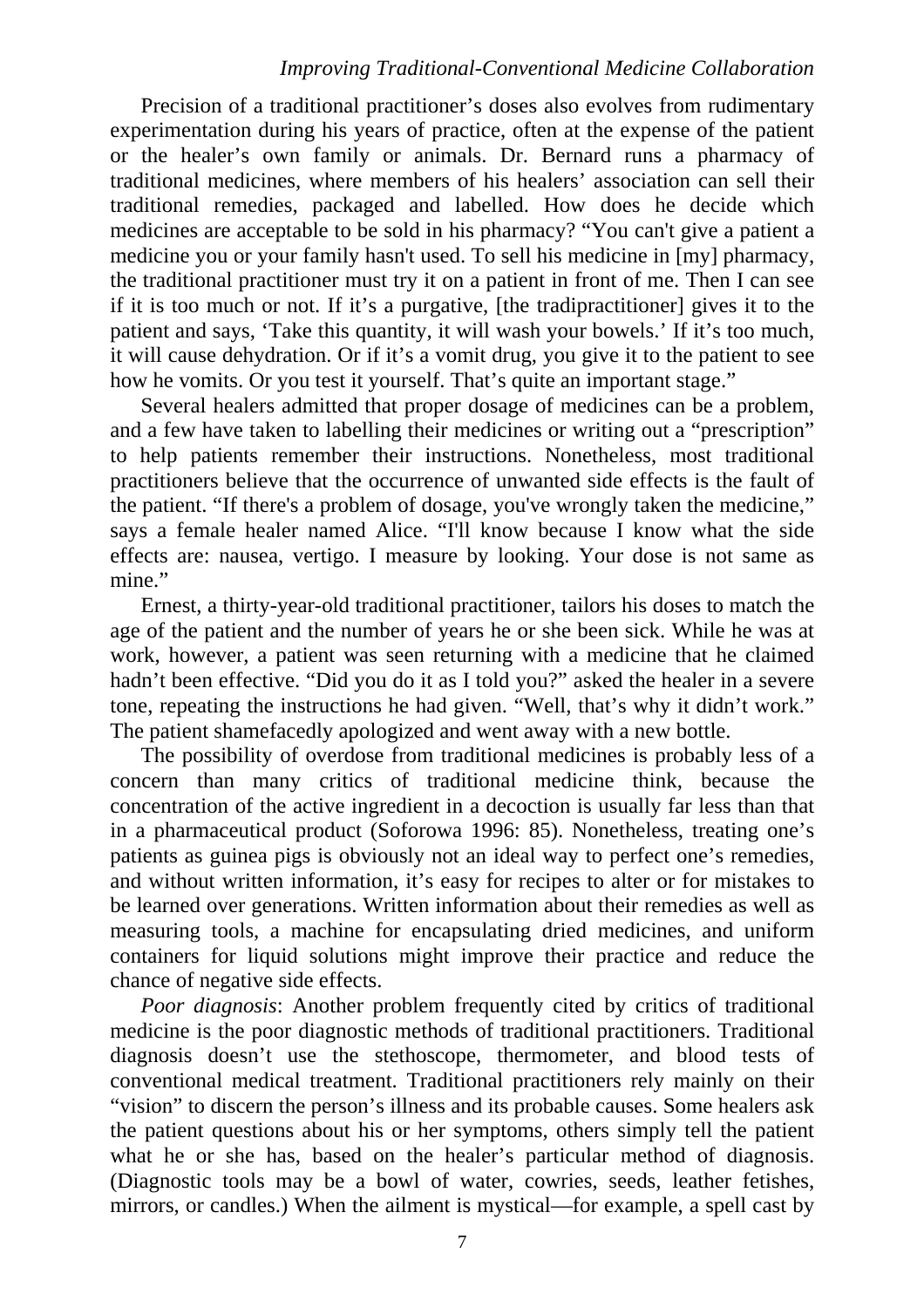#### *Improving Traditional-Conventional Medicine Collaboration*

Precision of a traditional practitioner's doses also evolves from rudimentary experimentation during his years of practice, often at the expense of the patient or the healer's own family or animals. Dr. Bernard runs a pharmacy of traditional medicines, where members of his healers' association can sell their traditional remedies, packaged and labelled. How does he decide which medicines are acceptable to be sold in his pharmacy? "You can't give a patient a medicine you or your family hasn't used. To sell his medicine in [my] pharmacy, the traditional practitioner must try it on a patient in front of me. Then I can see if it is too much or not. If it's a purgative, [the tradipractitioner] gives it to the patient and says, 'Take this quantity, it will wash your bowels.' If it's too much, it will cause dehydration. Or if it's a vomit drug, you give it to the patient to see how he vomits. Or you test it yourself. That's quite an important stage."

Several healers admitted that proper dosage of medicines can be a problem, and a few have taken to labelling their medicines or writing out a "prescription" to help patients remember their instructions. Nonetheless, most traditional practitioners believe that the occurrence of unwanted side effects is the fault of the patient. "If there's a problem of dosage, you've wrongly taken the medicine," says a female healer named Alice. "I'll know because I know what the side effects are: nausea, vertigo. I measure by looking. Your dose is not same as mine."

Ernest, a thirty-year-old traditional practitioner, tailors his doses to match the age of the patient and the number of years he or she been sick. While he was at work, however, a patient was seen returning with a medicine that he claimed hadn't been effective. "Did you do it as I told you?" asked the healer in a severe tone, repeating the instructions he had given. "Well, that's why it didn't work." The patient shamefacedly apologized and went away with a new bottle.

The possibility of overdose from traditional medicines is probably less of a concern than many critics of traditional medicine think, because the concentration of the active ingredient in a decoction is usually far less than that in a pharmaceutical product (Soforowa 1996: 85). Nonetheless, treating one's patients as guinea pigs is obviously not an ideal way to perfect one's remedies, and without written information, it's easy for recipes to alter or for mistakes to be learned over generations. Written information about their remedies as well as measuring tools, a machine for encapsulating dried medicines, and uniform containers for liquid solutions might improve their practice and reduce the chance of negative side effects.

*Poor diagnosis*: Another problem frequently cited by critics of traditional medicine is the poor diagnostic methods of traditional practitioners. Traditional diagnosis doesn't use the stethoscope, thermometer, and blood tests of conventional medical treatment. Traditional practitioners rely mainly on their "vision" to discern the person's illness and its probable causes. Some healers ask the patient questions about his or her symptoms, others simply tell the patient what he or she has, based on the healer's particular method of diagnosis. (Diagnostic tools may be a bowl of water, cowries, seeds, leather fetishes, mirrors, or candles.) When the ailment is mystical—for example, a spell cast by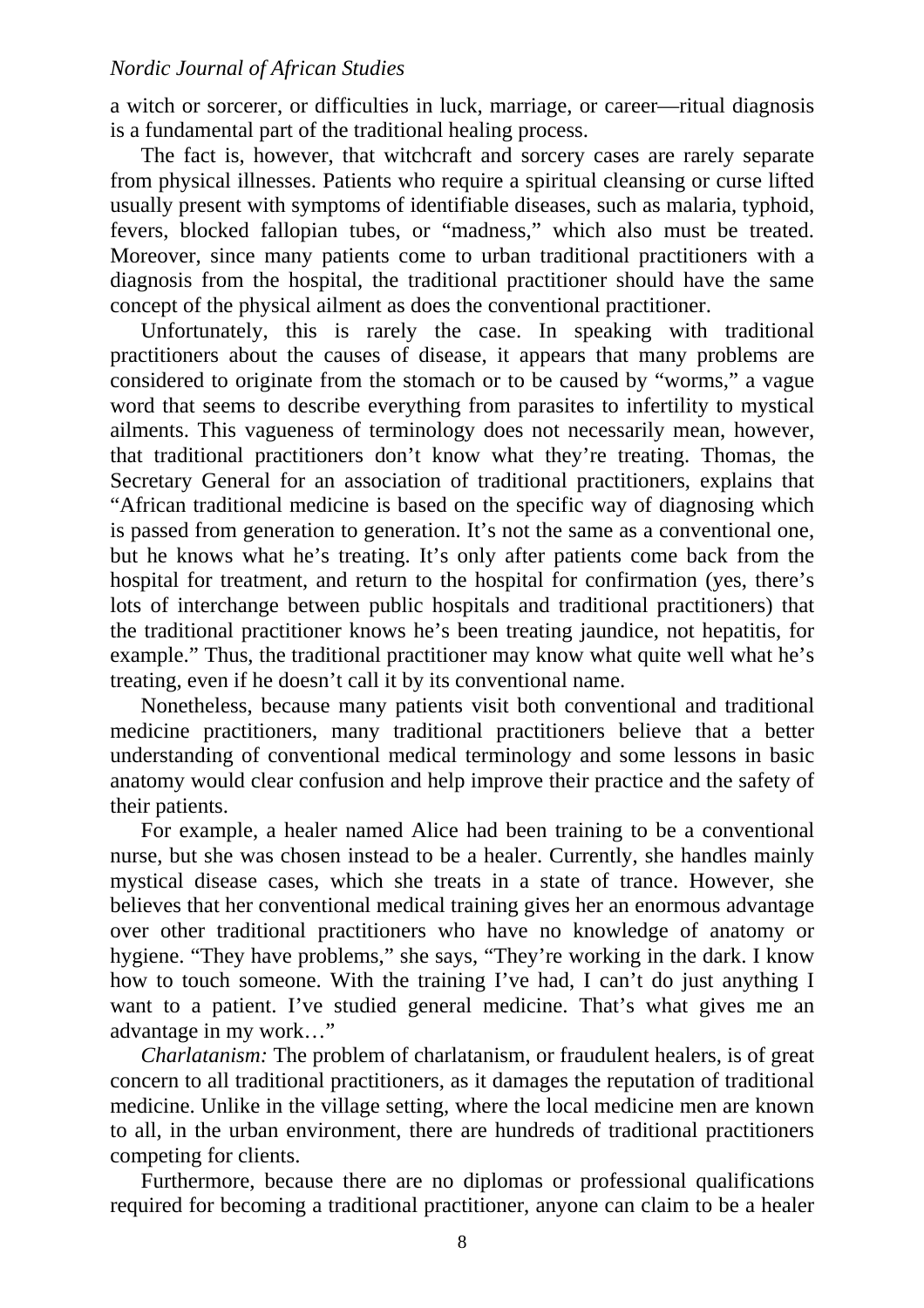a witch or sorcerer, or difficulties in luck, marriage, or career—ritual diagnosis is a fundamental part of the traditional healing process.

The fact is, however, that witchcraft and sorcery cases are rarely separate from physical illnesses. Patients who require a spiritual cleansing or curse lifted usually present with symptoms of identifiable diseases, such as malaria, typhoid, fevers, blocked fallopian tubes, or "madness," which also must be treated. Moreover, since many patients come to urban traditional practitioners with a diagnosis from the hospital, the traditional practitioner should have the same concept of the physical ailment as does the conventional practitioner.

Unfortunately, this is rarely the case. In speaking with traditional practitioners about the causes of disease, it appears that many problems are considered to originate from the stomach or to be caused by "worms," a vague word that seems to describe everything from parasites to infertility to mystical ailments. This vagueness of terminology does not necessarily mean, however, that traditional practitioners don't know what they're treating. Thomas, the Secretary General for an association of traditional practitioners, explains that "African traditional medicine is based on the specific way of diagnosing which is passed from generation to generation. It's not the same as a conventional one, but he knows what he's treating. It's only after patients come back from the hospital for treatment, and return to the hospital for confirmation (yes, there's lots of interchange between public hospitals and traditional practitioners) that the traditional practitioner knows he's been treating jaundice, not hepatitis, for example." Thus, the traditional practitioner may know what quite well what he's treating, even if he doesn't call it by its conventional name.

Nonetheless, because many patients visit both conventional and traditional medicine practitioners, many traditional practitioners believe that a better understanding of conventional medical terminology and some lessons in basic anatomy would clear confusion and help improve their practice and the safety of their patients.

For example, a healer named Alice had been training to be a conventional nurse, but she was chosen instead to be a healer. Currently, she handles mainly mystical disease cases, which she treats in a state of trance. However, she believes that her conventional medical training gives her an enormous advantage over other traditional practitioners who have no knowledge of anatomy or hygiene. "They have problems," she says, "They're working in the dark. I know how to touch someone. With the training I've had, I can't do just anything I want to a patient. I've studied general medicine. That's what gives me an advantage in my work…"

*Charlatanism:* The problem of charlatanism, or fraudulent healers, is of great concern to all traditional practitioners, as it damages the reputation of traditional medicine. Unlike in the village setting, where the local medicine men are known to all, in the urban environment, there are hundreds of traditional practitioners competing for clients.

Furthermore, because there are no diplomas or professional qualifications required for becoming a traditional practitioner, anyone can claim to be a healer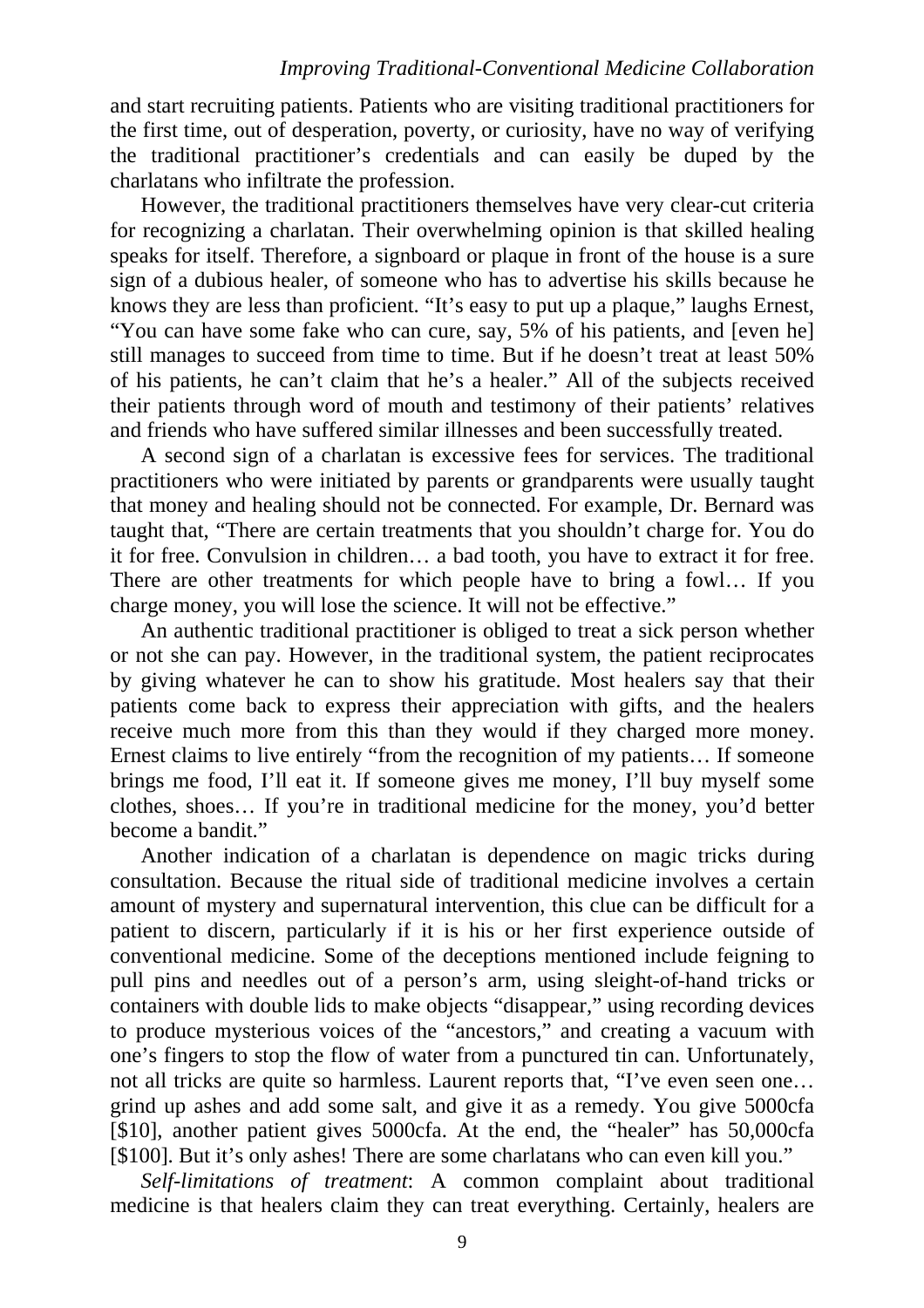#### *Improving Traditional-Conventional Medicine Collaboration*

and start recruiting patients. Patients who are visiting traditional practitioners for the first time, out of desperation, poverty, or curiosity, have no way of verifying the traditional practitioner's credentials and can easily be duped by the charlatans who infiltrate the profession.

However, the traditional practitioners themselves have very clear-cut criteria for recognizing a charlatan. Their overwhelming opinion is that skilled healing speaks for itself. Therefore, a signboard or plaque in front of the house is a sure sign of a dubious healer, of someone who has to advertise his skills because he knows they are less than proficient. "It's easy to put up a plaque," laughs Ernest, "You can have some fake who can cure, say, 5% of his patients, and [even he] still manages to succeed from time to time. But if he doesn't treat at least 50% of his patients, he can't claim that he's a healer." All of the subjects received their patients through word of mouth and testimony of their patients' relatives and friends who have suffered similar illnesses and been successfully treated.

A second sign of a charlatan is excessive fees for services. The traditional practitioners who were initiated by parents or grandparents were usually taught that money and healing should not be connected. For example, Dr. Bernard was taught that, "There are certain treatments that you shouldn't charge for. You do it for free. Convulsion in children… a bad tooth, you have to extract it for free. There are other treatments for which people have to bring a fowl… If you charge money, you will lose the science. It will not be effective."

An authentic traditional practitioner is obliged to treat a sick person whether or not she can pay. However, in the traditional system, the patient reciprocates by giving whatever he can to show his gratitude. Most healers say that their patients come back to express their appreciation with gifts, and the healers receive much more from this than they would if they charged more money. Ernest claims to live entirely "from the recognition of my patients… If someone brings me food, I'll eat it. If someone gives me money, I'll buy myself some clothes, shoes… If you're in traditional medicine for the money, you'd better become a bandit."

Another indication of a charlatan is dependence on magic tricks during consultation. Because the ritual side of traditional medicine involves a certain amount of mystery and supernatural intervention, this clue can be difficult for a patient to discern, particularly if it is his or her first experience outside of conventional medicine. Some of the deceptions mentioned include feigning to pull pins and needles out of a person's arm, using sleight-of-hand tricks or containers with double lids to make objects "disappear," using recording devices to produce mysterious voices of the "ancestors," and creating a vacuum with one's fingers to stop the flow of water from a punctured tin can. Unfortunately, not all tricks are quite so harmless. Laurent reports that, "I've even seen one… grind up ashes and add some salt, and give it as a remedy. You give 5000cfa [\$10], another patient gives 5000cfa. At the end, the "healer" has 50,000cfa [\$100]. But it's only ashes! There are some charlatans who can even kill you."

*Self-limitations of treatment*: A common complaint about traditional medicine is that healers claim they can treat everything. Certainly, healers are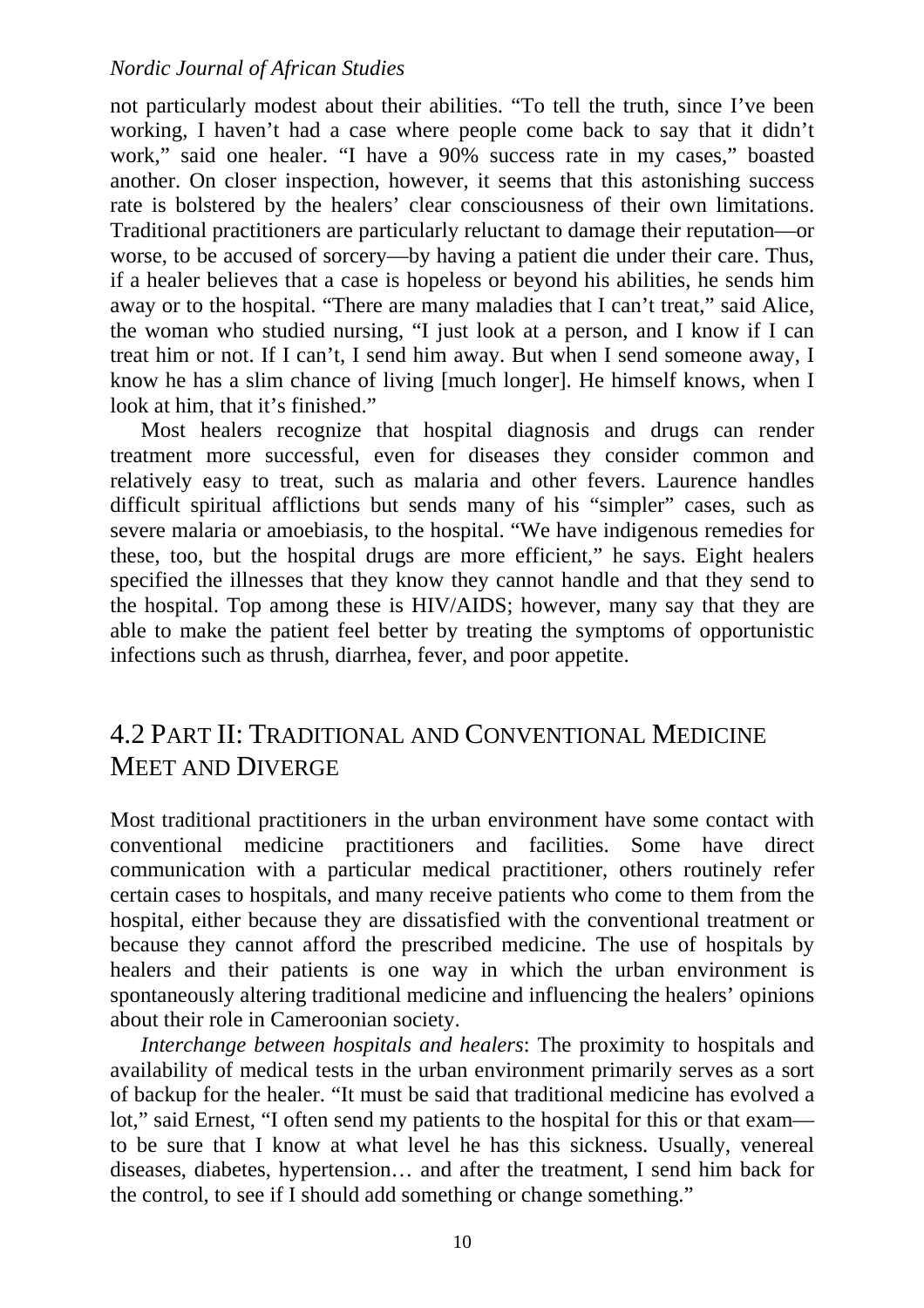not particularly modest about their abilities. "To tell the truth, since I've been working, I haven't had a case where people come back to say that it didn't work," said one healer. "I have a 90% success rate in my cases," boasted another. On closer inspection, however, it seems that this astonishing success rate is bolstered by the healers' clear consciousness of their own limitations. Traditional practitioners are particularly reluctant to damage their reputation—or worse, to be accused of sorcery—by having a patient die under their care. Thus, if a healer believes that a case is hopeless or beyond his abilities, he sends him away or to the hospital. "There are many maladies that I can't treat," said Alice, the woman who studied nursing, "I just look at a person, and I know if I can treat him or not. If I can't, I send him away. But when I send someone away, I know he has a slim chance of living [much longer]. He himself knows, when I look at him, that it's finished."

Most healers recognize that hospital diagnosis and drugs can render treatment more successful, even for diseases they consider common and relatively easy to treat, such as malaria and other fevers. Laurence handles difficult spiritual afflictions but sends many of his "simpler" cases, such as severe malaria or amoebiasis, to the hospital. "We have indigenous remedies for these, too, but the hospital drugs are more efficient," he says. Eight healers specified the illnesses that they know they cannot handle and that they send to the hospital. Top among these is HIV/AIDS; however, many say that they are able to make the patient feel better by treating the symptoms of opportunistic infections such as thrush, diarrhea, fever, and poor appetite.

### 4.2 PART II: TRADITIONAL AND CONVENTIONAL MEDICINE MEET AND DIVERGE

Most traditional practitioners in the urban environment have some contact with conventional medicine practitioners and facilities. Some have direct communication with a particular medical practitioner, others routinely refer certain cases to hospitals, and many receive patients who come to them from the hospital, either because they are dissatisfied with the conventional treatment or because they cannot afford the prescribed medicine. The use of hospitals by healers and their patients is one way in which the urban environment is spontaneously altering traditional medicine and influencing the healers' opinions about their role in Cameroonian society.

*Interchange between hospitals and healers*: The proximity to hospitals and availability of medical tests in the urban environment primarily serves as a sort of backup for the healer. "It must be said that traditional medicine has evolved a lot," said Ernest, "I often send my patients to the hospital for this or that exam to be sure that I know at what level he has this sickness. Usually, venereal diseases, diabetes, hypertension… and after the treatment, I send him back for the control, to see if I should add something or change something."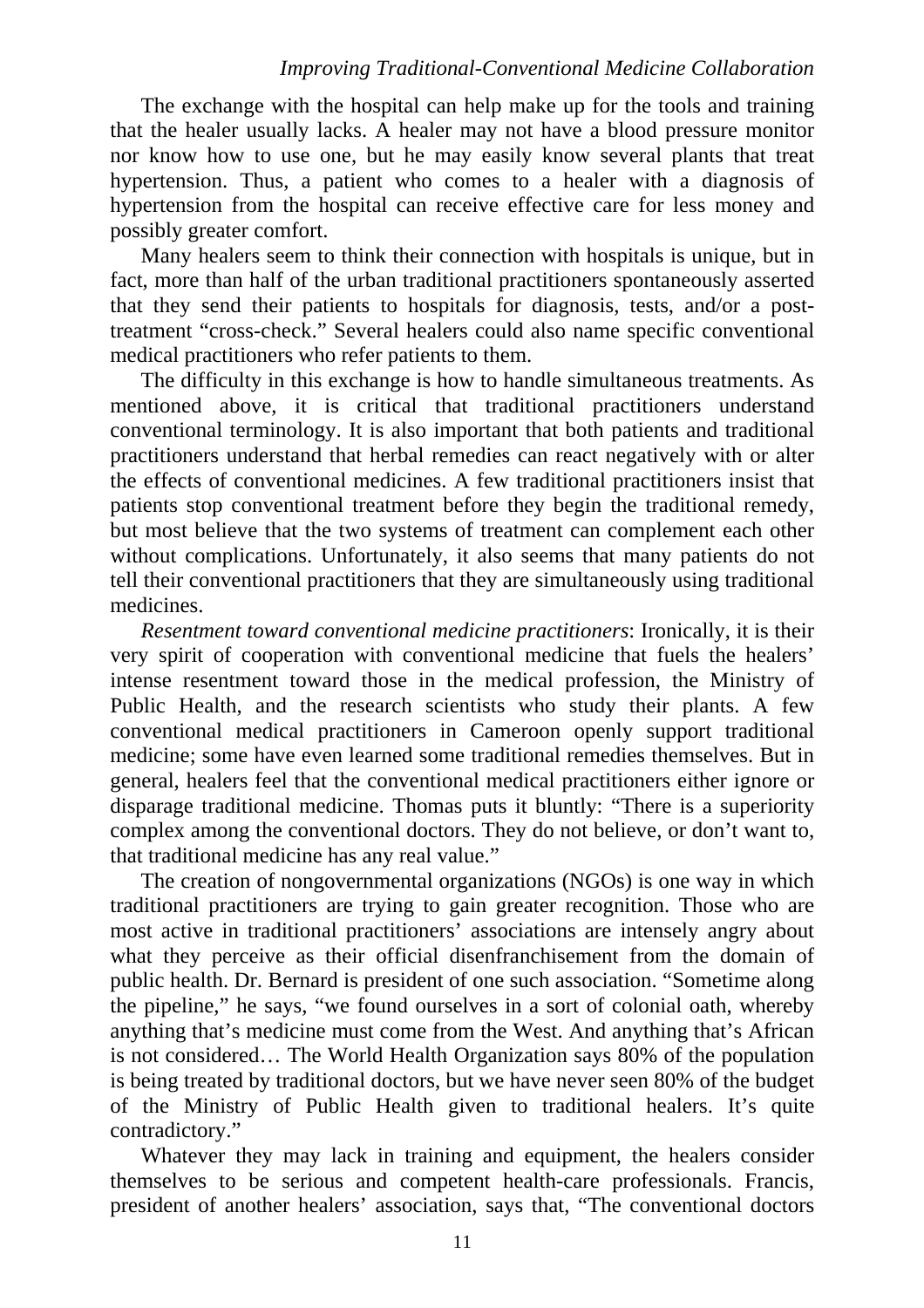#### *Improving Traditional-Conventional Medicine Collaboration*

The exchange with the hospital can help make up for the tools and training that the healer usually lacks. A healer may not have a blood pressure monitor nor know how to use one, but he may easily know several plants that treat hypertension. Thus, a patient who comes to a healer with a diagnosis of hypertension from the hospital can receive effective care for less money and possibly greater comfort.

Many healers seem to think their connection with hospitals is unique, but in fact, more than half of the urban traditional practitioners spontaneously asserted that they send their patients to hospitals for diagnosis, tests, and/or a posttreatment "cross-check." Several healers could also name specific conventional medical practitioners who refer patients to them.

The difficulty in this exchange is how to handle simultaneous treatments. As mentioned above, it is critical that traditional practitioners understand conventional terminology. It is also important that both patients and traditional practitioners understand that herbal remedies can react negatively with or alter the effects of conventional medicines. A few traditional practitioners insist that patients stop conventional treatment before they begin the traditional remedy, but most believe that the two systems of treatment can complement each other without complications. Unfortunately, it also seems that many patients do not tell their conventional practitioners that they are simultaneously using traditional medicines.

*Resentment toward conventional medicine practitioners*: Ironically, it is their very spirit of cooperation with conventional medicine that fuels the healers' intense resentment toward those in the medical profession, the Ministry of Public Health, and the research scientists who study their plants. A few conventional medical practitioners in Cameroon openly support traditional medicine; some have even learned some traditional remedies themselves. But in general, healers feel that the conventional medical practitioners either ignore or disparage traditional medicine. Thomas puts it bluntly: "There is a superiority complex among the conventional doctors. They do not believe, or don't want to, that traditional medicine has any real value."

The creation of nongovernmental organizations (NGOs) is one way in which traditional practitioners are trying to gain greater recognition. Those who are most active in traditional practitioners' associations are intensely angry about what they perceive as their official disenfranchisement from the domain of public health. Dr. Bernard is president of one such association. "Sometime along the pipeline," he says, "we found ourselves in a sort of colonial oath, whereby anything that's medicine must come from the West. And anything that's African is not considered… The World Health Organization says 80% of the population is being treated by traditional doctors, but we have never seen 80% of the budget of the Ministry of Public Health given to traditional healers. It's quite contradictory."

Whatever they may lack in training and equipment, the healers consider themselves to be serious and competent health-care professionals. Francis, president of another healers' association, says that, "The conventional doctors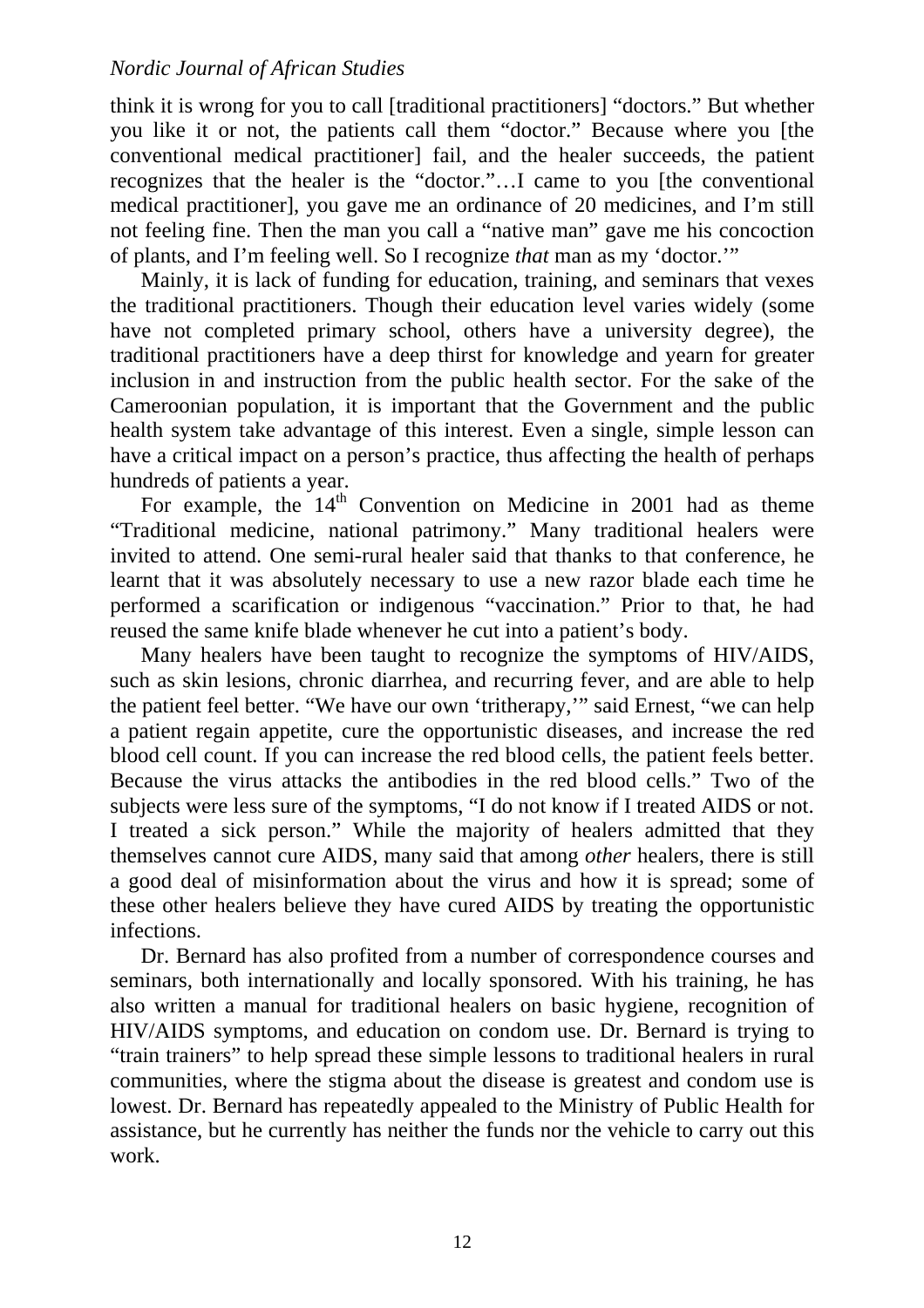think it is wrong for you to call [traditional practitioners] "doctors." But whether you like it or not, the patients call them "doctor." Because where you [the conventional medical practitioner] fail, and the healer succeeds, the patient recognizes that the healer is the "doctor."…I came to you [the conventional medical practitioner], you gave me an ordinance of 20 medicines, and I'm still not feeling fine. Then the man you call a "native man" gave me his concoction of plants, and I'm feeling well. So I recognize *that* man as my 'doctor.'"

Mainly, it is lack of funding for education, training, and seminars that vexes the traditional practitioners. Though their education level varies widely (some have not completed primary school, others have a university degree), the traditional practitioners have a deep thirst for knowledge and yearn for greater inclusion in and instruction from the public health sector. For the sake of the Cameroonian population, it is important that the Government and the public health system take advantage of this interest. Even a single, simple lesson can have a critical impact on a person's practice, thus affecting the health of perhaps hundreds of patients a year.

For example, the  $14<sup>th</sup>$  Convention on Medicine in 2001 had as theme "Traditional medicine, national patrimony." Many traditional healers were invited to attend. One semi-rural healer said that thanks to that conference, he learnt that it was absolutely necessary to use a new razor blade each time he performed a scarification or indigenous "vaccination." Prior to that, he had reused the same knife blade whenever he cut into a patient's body.

Many healers have been taught to recognize the symptoms of HIV/AIDS, such as skin lesions, chronic diarrhea, and recurring fever, and are able to help the patient feel better. "We have our own 'tritherapy,'" said Ernest, "we can help a patient regain appetite, cure the opportunistic diseases, and increase the red blood cell count. If you can increase the red blood cells, the patient feels better. Because the virus attacks the antibodies in the red blood cells." Two of the subjects were less sure of the symptoms, "I do not know if I treated AIDS or not. I treated a sick person." While the majority of healers admitted that they themselves cannot cure AIDS, many said that among *other* healers, there is still a good deal of misinformation about the virus and how it is spread; some of these other healers believe they have cured AIDS by treating the opportunistic infections.

Dr. Bernard has also profited from a number of correspondence courses and seminars, both internationally and locally sponsored. With his training, he has also written a manual for traditional healers on basic hygiene, recognition of HIV/AIDS symptoms, and education on condom use. Dr. Bernard is trying to "train trainers" to help spread these simple lessons to traditional healers in rural communities, where the stigma about the disease is greatest and condom use is lowest. Dr. Bernard has repeatedly appealed to the Ministry of Public Health for assistance, but he currently has neither the funds nor the vehicle to carry out this work.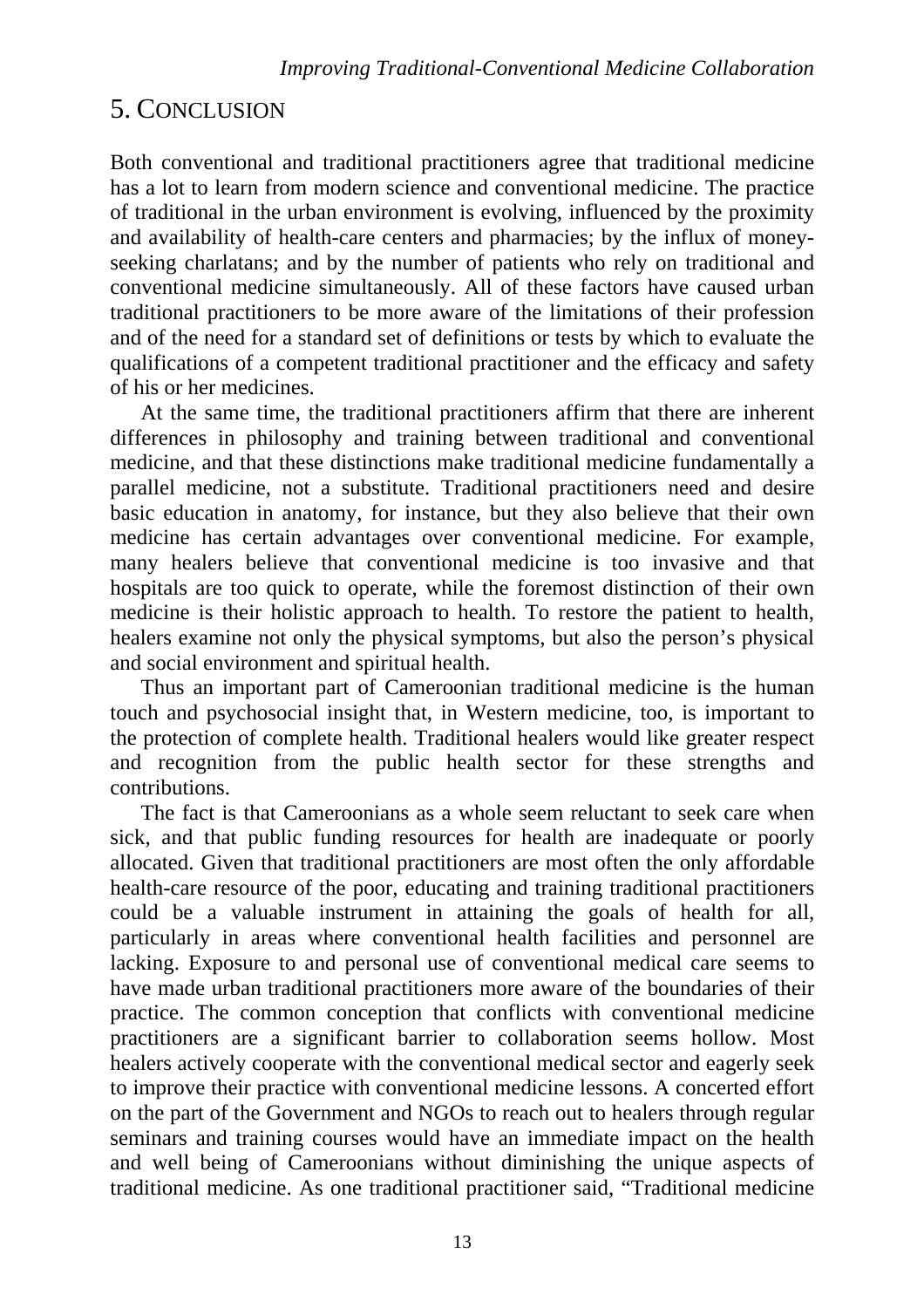## 5. CONCLUSION

Both conventional and traditional practitioners agree that traditional medicine has a lot to learn from modern science and conventional medicine. The practice of traditional in the urban environment is evolving, influenced by the proximity and availability of health-care centers and pharmacies; by the influx of moneyseeking charlatans; and by the number of patients who rely on traditional and conventional medicine simultaneously. All of these factors have caused urban traditional practitioners to be more aware of the limitations of their profession and of the need for a standard set of definitions or tests by which to evaluate the qualifications of a competent traditional practitioner and the efficacy and safety of his or her medicines.

At the same time, the traditional practitioners affirm that there are inherent differences in philosophy and training between traditional and conventional medicine, and that these distinctions make traditional medicine fundamentally a parallel medicine, not a substitute. Traditional practitioners need and desire basic education in anatomy, for instance, but they also believe that their own medicine has certain advantages over conventional medicine. For example, many healers believe that conventional medicine is too invasive and that hospitals are too quick to operate, while the foremost distinction of their own medicine is their holistic approach to health. To restore the patient to health, healers examine not only the physical symptoms, but also the person's physical and social environment and spiritual health.

Thus an important part of Cameroonian traditional medicine is the human touch and psychosocial insight that, in Western medicine, too, is important to the protection of complete health. Traditional healers would like greater respect and recognition from the public health sector for these strengths and contributions.

The fact is that Cameroonians as a whole seem reluctant to seek care when sick, and that public funding resources for health are inadequate or poorly allocated. Given that traditional practitioners are most often the only affordable health-care resource of the poor, educating and training traditional practitioners could be a valuable instrument in attaining the goals of health for all, particularly in areas where conventional health facilities and personnel are lacking. Exposure to and personal use of conventional medical care seems to have made urban traditional practitioners more aware of the boundaries of their practice. The common conception that conflicts with conventional medicine practitioners are a significant barrier to collaboration seems hollow. Most healers actively cooperate with the conventional medical sector and eagerly seek to improve their practice with conventional medicine lessons. A concerted effort on the part of the Government and NGOs to reach out to healers through regular seminars and training courses would have an immediate impact on the health and well being of Cameroonians without diminishing the unique aspects of traditional medicine. As one traditional practitioner said, "Traditional medicine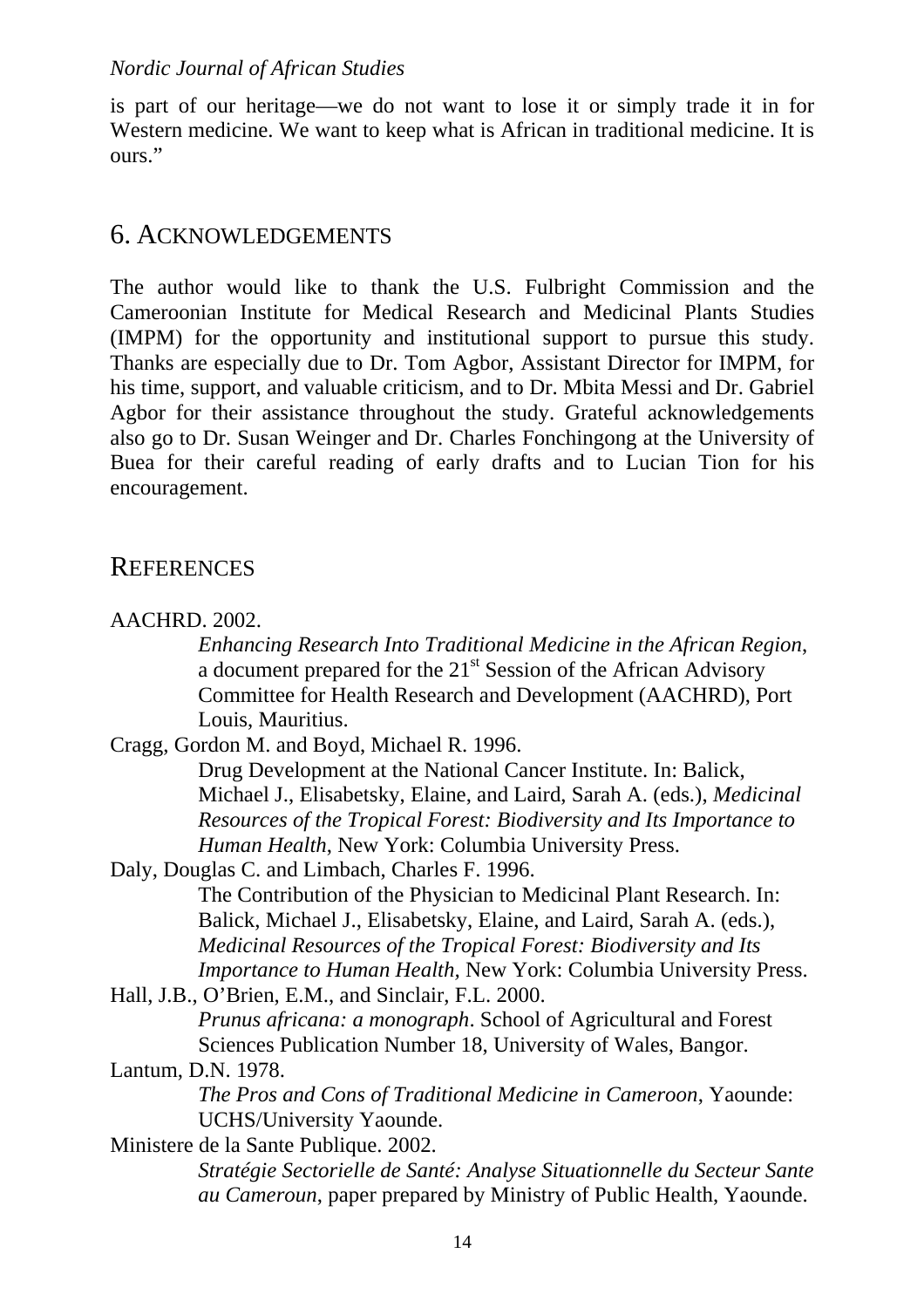is part of our heritage—we do not want to lose it or simply trade it in for Western medicine. We want to keep what is African in traditional medicine. It is ours."

### 6. ACKNOWLEDGEMENTS

The author would like to thank the U.S. Fulbright Commission and the Cameroonian Institute for Medical Research and Medicinal Plants Studies (IMPM) for the opportunity and institutional support to pursue this study. Thanks are especially due to Dr. Tom Agbor, Assistant Director for IMPM, for his time, support, and valuable criticism, and to Dr. Mbita Messi and Dr. Gabriel Agbor for their assistance throughout the study. Grateful acknowledgements also go to Dr. Susan Weinger and Dr. Charles Fonchingong at the University of Buea for their careful reading of early drafts and to Lucian Tion for his encouragement.

### **REFERENCES**

*Enhancing Research Into Traditional Medicine in the African Region*, a document prepared for the  $21<sup>st</sup>$  Session of the African Advisory Committee for Health Research and Development (AACHRD), Port Louis, Mauritius.

Cragg, Gordon M. and Boyd, Michael R. 1996.

Drug Development at the National Cancer Institute. In: Balick, Michael J., Elisabetsky, Elaine, and Laird, Sarah A. (eds.), *Medicinal Resources of the Tropical Forest: Biodiversity and Its Importance to Human Health*, New York: Columbia University Press.

Daly, Douglas C. and Limbach, Charles F. 1996. The Contribution of the Physician to Medicinal Plant Research. In: Balick, Michael J., Elisabetsky, Elaine, and Laird, Sarah A. (eds.), *Medicinal Resources of the Tropical Forest: Biodiversity and Its Importance to Human Health,* New York: Columbia University Press.

Hall, J.B., O'Brien, E.M., and Sinclair, F.L. 2000. *Prunus africana: a monograph*. School of Agricultural and Forest Sciences Publication Number 18, University of Wales, Bangor.

#### Lantum, D.N. 1978.

*The Pros and Cons of Traditional Medicine in Cameroon*, Yaounde: UCHS/University Yaounde.

Ministere de la Sante Publique. 2002.

*Stratégie Sectorielle de Santé: Analyse Situationnelle du Secteur Sante au Cameroun*, paper prepared by Ministry of Public Health, Yaounde.